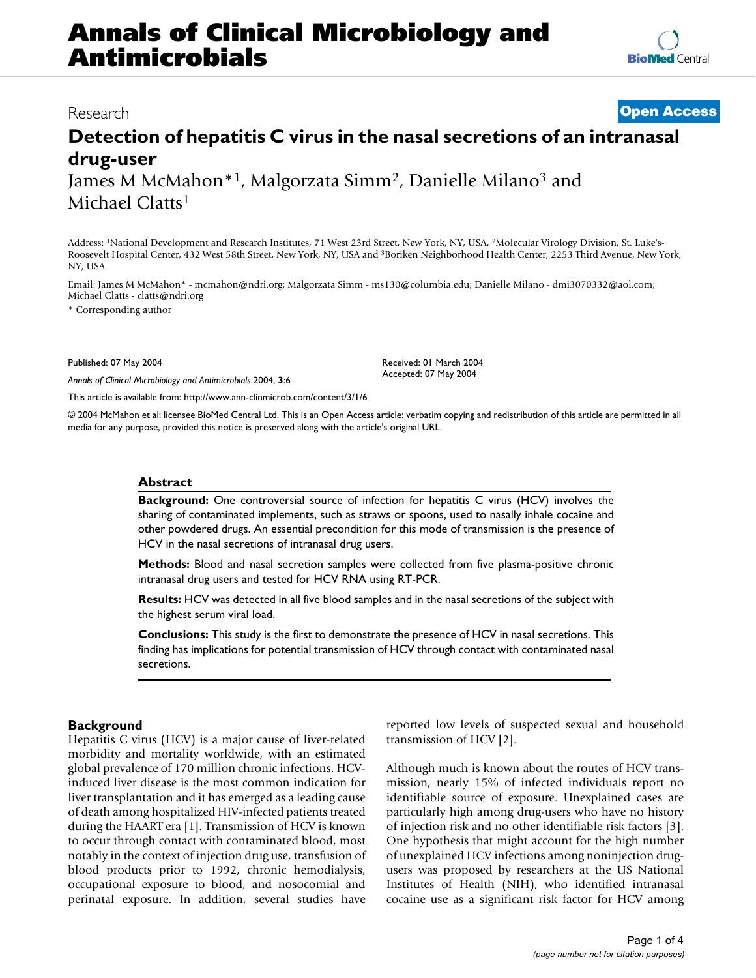# **Annals of Clinical Microbiology and Antimicrobials**

## Research **[Open Access](http://www.biomedcentral.com/info/about/charter/)**

## **Detection of hepatitis C virus in the nasal secretions of an intranasal drug-user** James M McMahon\*1, Malgorzata Simm2, Danielle Milano3 and

Michael Clatts1

Address: 1National Development and Research Institutes, 71 West 23rd Street, New York, NY, USA, 2Molecular Virology Division, St. Luke's-Roosevelt Hospital Center, 432 West 58th Street, New York, NY, USA and 3Boriken Neighborhood Health Center, 2253 Third Avenue, New York, NY, USA

Email: James M McMahon\* - mcmahon@ndri.org; Malgorzata Simm - ms130@columbia.edu; Danielle Milano - dmi3070332@aol.com; Michael Clatts - clatts@ndri.org

\* Corresponding author

Published: 07 May 2004

*Annals of Clinical Microbiology and Antimicrobials* 2004, **3**:6

[This article is available from: http://www.ann-clinmicrob.com/content/3/1/6](http://www.ann-clinmicrob.com/content/3/1/6)

© 2004 McMahon et al; licensee BioMed Central Ltd. This is an Open Access article: verbatim copying and redistribution of this article are permitted in all media for any purpose, provided this notice is preserved along with the article's original URL.

Received: 01 March 2004 Accepted: 07 May 2004

## **Abstract**

**Background:** One controversial source of infection for hepatitis C virus (HCV) involves the sharing of contaminated implements, such as straws or spoons, used to nasally inhale cocaine and other powdered drugs. An essential precondition for this mode of transmission is the presence of HCV in the nasal secretions of intranasal drug users.

**Methods:** Blood and nasal secretion samples were collected from five plasma-positive chronic intranasal drug users and tested for HCV RNA using RT-PCR.

**Results:** HCV was detected in all five blood samples and in the nasal secretions of the subject with the highest serum viral load.

**Conclusions:** This study is the first to demonstrate the presence of HCV in nasal secretions. This finding has implications for potential transmission of HCV through contact with contaminated nasal secretions.

## **Background**

Hepatitis C virus (HCV) is a major cause of liver-related morbidity and mortality worldwide, with an estimated global prevalence of 170 million chronic infections. HCVinduced liver disease is the most common indication for liver transplantation and it has emerged as a leading cause of death among hospitalized HIV-infected patients treated during the HAART era [1]. Transmission of HCV is known to occur through contact with contaminated blood, most notably in the context of injection drug use, transfusion of blood products prior to 1992, chronic hemodialysis, occupational exposure to blood, and nosocomial and perinatal exposure. In addition, several studies have

reported low levels of suspected sexual and household transmission of HCV [2].

Although much is known about the routes of HCV transmission, nearly 15% of infected individuals report no identifiable source of exposure. Unexplained cases are particularly high among drug-users who have no history of injection risk and no other identifiable risk factors [3]. One hypothesis that might account for the high number of unexplained HCV infections among noninjection drugusers was proposed by researchers at the US National Institutes of Health (NIH), who identified intranasal cocaine use as a significant risk factor for HCV among

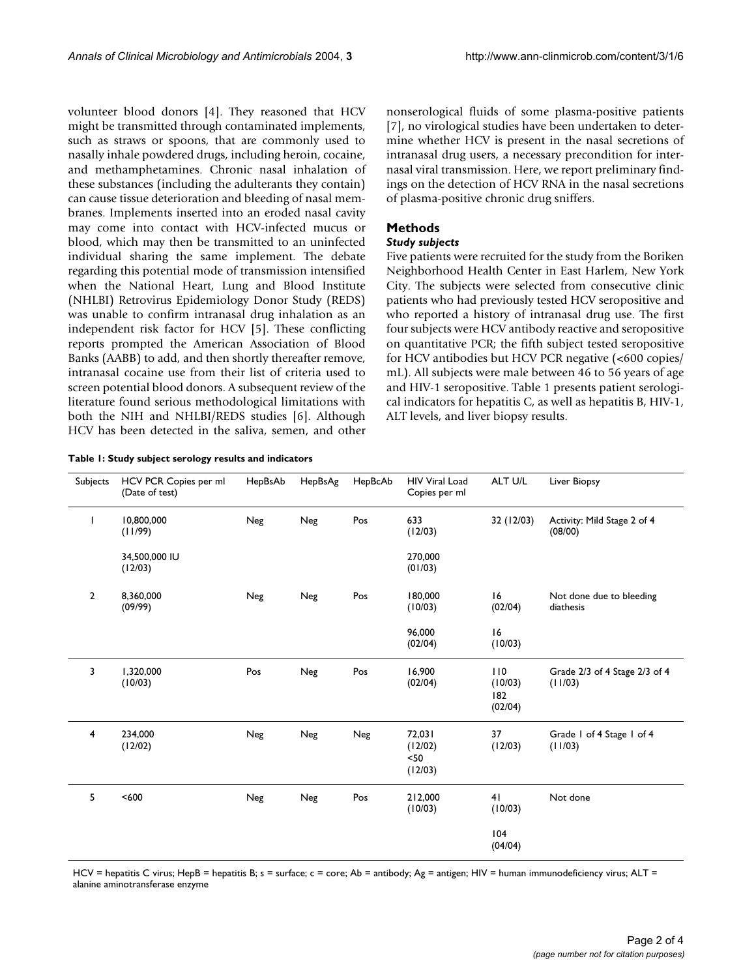volunteer blood donors [4]. They reasoned that HCV might be transmitted through contaminated implements, such as straws or spoons, that are commonly used to nasally inhale powdered drugs, including heroin, cocaine, and methamphetamines. Chronic nasal inhalation of these substances (including the adulterants they contain) can cause tissue deterioration and bleeding of nasal membranes. Implements inserted into an eroded nasal cavity may come into contact with HCV-infected mucus or blood, which may then be transmitted to an uninfected individual sharing the same implement. The debate regarding this potential mode of transmission intensified when the National Heart, Lung and Blood Institute (NHLBI) Retrovirus Epidemiology Donor Study (REDS) was unable to confirm intranasal drug inhalation as an independent risk factor for HCV [5]. These conflicting reports prompted the American Association of Blood Banks (AABB) to add, and then shortly thereafter remove, intranasal cocaine use from their list of criteria used to screen potential blood donors. A subsequent review of the literature found serious methodological limitations with both the NIH and NHLBI/REDS studies [6]. Although HCV has been detected in the saliva, semen, and other

|  |  |  |  |  | Table 1: Study subject serology results and indicators |
|--|--|--|--|--|--------------------------------------------------------|
|--|--|--|--|--|--------------------------------------------------------|

nonserological fluids of some plasma-positive patients [7], no virological studies have been undertaken to determine whether HCV is present in the nasal secretions of intranasal drug users, a necessary precondition for internasal viral transmission. Here, we report preliminary findings on the detection of HCV RNA in the nasal secretions of plasma-positive chronic drug sniffers.

## **Methods**

#### *Study subjects*

Five patients were recruited for the study from the Boriken Neighborhood Health Center in East Harlem, New York City. The subjects were selected from consecutive clinic patients who had previously tested HCV seropositive and who reported a history of intranasal drug use. The first four subjects were HCV antibody reactive and seropositive on quantitative PCR; the fifth subject tested seropositive for HCV antibodies but HCV PCR negative (<600 copies/ mL). All subjects were male between 46 to 56 years of age and HIV-1 seropositive. Table 1 presents patient serological indicators for hepatitis C, as well as hepatitis B, HIV-1, ALT levels, and liver biopsy results.

| Subjects       | HCV PCR Copies per ml<br>(Date of test) | HepBsAb | HepBsAg | HepBcAb | <b>HIV Viral Load</b><br>Copies per ml | ALT U/L                          | Liver Biopsy                             |
|----------------|-----------------------------------------|---------|---------|---------|----------------------------------------|----------------------------------|------------------------------------------|
| ı              | 10,800,000<br>(11/99)                   | Neg     | Neg     | Pos     | 633<br>(12/03)                         | 32 (12/03)                       | Activity: Mild Stage 2 of 4<br>(08/00)   |
|                | 34,500,000 IU<br>(12/03)                |         |         |         | 270,000<br>(01/03)                     |                                  |                                          |
| $\overline{2}$ | 8,360,000<br>(09/99)                    | Neg     | Neg     | Pos     | 180,000<br>(10/03)                     | 16<br>(02/04)                    | Not done due to bleeding<br>diathesis    |
|                |                                         |         |         |         | 96,000<br>(02/04)                      | 16<br>(10/03)                    |                                          |
| 3              | 1,320,000<br>(10/03)                    | Pos     | Neg     | Pos     | 16,900<br>(02/04)                      | 110<br>(10/03)<br>182<br>(02/04) | Grade 2/3 of 4 Stage 2/3 of 4<br>(11/03) |
| $\overline{4}$ | 234,000<br>(12/02)                      | Neg     | Neg     | Neg     | 72,031<br>(12/02)<br>$50$<br>(12/03)   | 37<br>(12/03)                    | Grade I of 4 Stage I of 4<br>(11/03)     |
| 5              | < 600                                   | Neg     | Neg     | Pos     | 212,000<br>(10/03)                     | 41<br>(10/03)                    | Not done                                 |
|                |                                         |         |         |         |                                        | 104<br>(04/04)                   |                                          |

HCV = hepatitis C virus; HepB = hepatitis B; s = surface; c = core; Ab = antibody; Ag = antigen; HIV = human immunodeficiency virus; ALT = alanine aminotransferase enzyme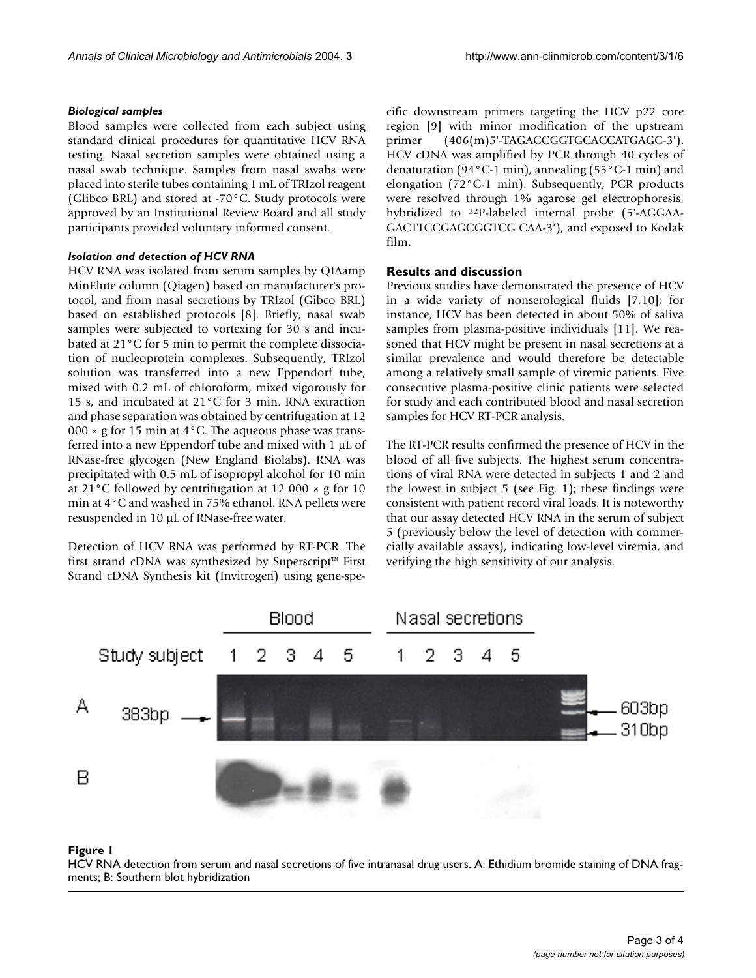#### *Biological samples*

Blood samples were collected from each subject using standard clinical procedures for quantitative HCV RNA testing. Nasal secretion samples were obtained using a nasal swab technique. Samples from nasal swabs were placed into sterile tubes containing 1 mL of TRIzol reagent (Glibco BRL) and stored at -70°C. Study protocols were approved by an Institutional Review Board and all study participants provided voluntary informed consent.

#### *Isolation and detection of HCV RNA*

HCV RNA was isolated from serum samples by QIAamp MinElute column (Qiagen) based on manufacturer's protocol, and from nasal secretions by TRIzol (Gibco BRL) based on established protocols [8]. Briefly, nasal swab samples were subjected to vortexing for 30 s and incubated at 21°C for 5 min to permit the complete dissociation of nucleoprotein complexes. Subsequently, TRIzol solution was transferred into a new Eppendorf tube, mixed with 0.2 mL of chloroform, mixed vigorously for 15 s, and incubated at 21°C for 3 min. RNA extraction and phase separation was obtained by centrifugation at 12 000  $\times$  g for 15 min at 4 $\degree$ C. The aqueous phase was transferred into a new Eppendorf tube and mixed with  $1 \mu L$  of RNase-free glycogen (New England Biolabs). RNA was precipitated with 0.5 mL of isopropyl alcohol for 10 min at 21°C followed by centrifugation at 12 000 × g for 10 min at 4°C and washed in 75% ethanol. RNA pellets were resuspended in 10 µL of RNase-free water.

Detection of HCV RNA was performed by RT-PCR. The first strand cDNA was synthesized by Superscript™ First Strand cDNA Synthesis kit (Invitrogen) using gene-specific downstream primers targeting the HCV p22 core region [9] with minor modification of the upstream primer (406(m)5'-TAGACCGGTGCACCATGAGC-3'). HCV cDNA was amplified by PCR through 40 cycles of denaturation (94°C-1 min), annealing (55°C-1 min) and elongation (72°C-1 min). Subsequently, PCR products were resolved through 1% agarose gel electrophoresis, hybridized to 32P-labeled internal probe (5'-AGGAA-GACTTCCGAGCGGTCG CAA-3'), and exposed to Kodak film.

### **Results and discussion**

Previous studies have demonstrated the presence of HCV in a wide variety of nonserological fluids [7,10]; for instance, HCV has been detected in about 50% of saliva samples from plasma-positive individuals [11]. We reasoned that HCV might be present in nasal secretions at a similar prevalence and would therefore be detectable among a relatively small sample of viremic patients. Five consecutive plasma-positive clinic patients were selected for study and each contributed blood and nasal secretion samples for HCV RT-PCR analysis.

The RT-PCR results confirmed the presence of HCV in the blood of all five subjects. The highest serum concentrations of viral RNA were detected in subjects 1 and 2 and the lowest in subject 5 (see Fig. [1\)](#page-2-0); these findings were consistent with patient record viral loads. It is noteworthy that our assay detected HCV RNA in the serum of subject 5 (previously below the level of detection with commercially available assays), indicating low-level viremia, and verifying the high sensitivity of our analysis.

<span id="page-2-0"></span>

#### HCV RNA detection from serum and nasal secr **Figure 1** etions of five intranasal drug users

HCV RNA detection from serum and nasal secretions of five intranasal drug users. A: Ethidium bromide staining of DNA fragments; B: Southern blot hybridization